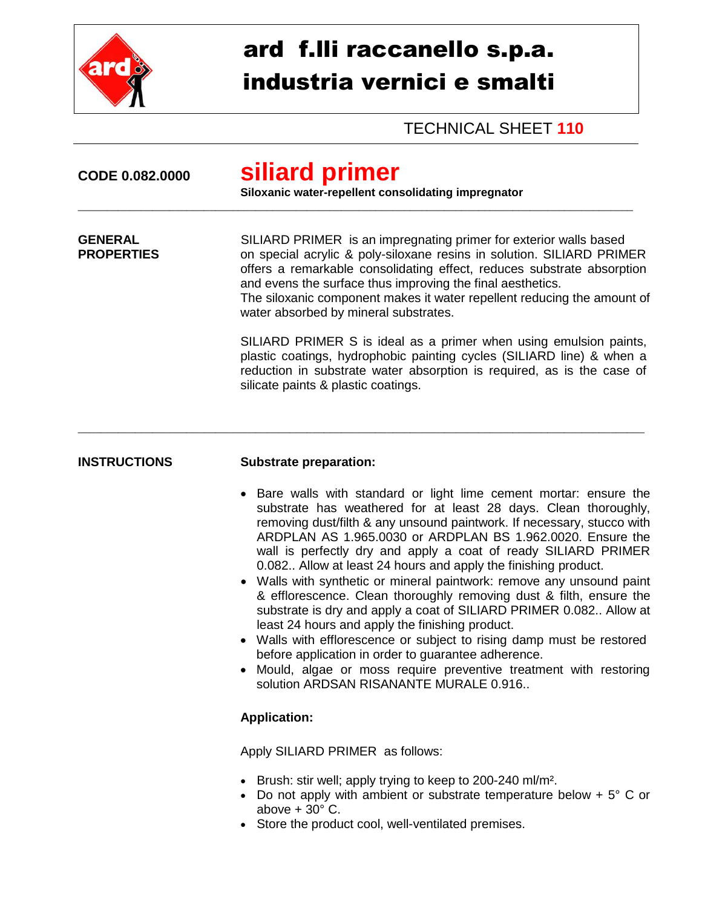

## ard f.lli raccanello s.p.a. industria vernici e smalti

TECHNICAL SHEET **110**

| CODE 0.082.0000                     | siliard primer<br>Siloxanic water-repellent consolidating impregnator                                                                                                                                                                                                                                                                                                                                                                                                                                                                                                                                                                                                                                                                                                                                                                                                                                                                  |  |
|-------------------------------------|----------------------------------------------------------------------------------------------------------------------------------------------------------------------------------------------------------------------------------------------------------------------------------------------------------------------------------------------------------------------------------------------------------------------------------------------------------------------------------------------------------------------------------------------------------------------------------------------------------------------------------------------------------------------------------------------------------------------------------------------------------------------------------------------------------------------------------------------------------------------------------------------------------------------------------------|--|
| <b>GENERAL</b><br><b>PROPERTIES</b> | SILIARD PRIMER is an impregnating primer for exterior walls based<br>on special acrylic & poly-siloxane resins in solution. SILIARD PRIMER<br>offers a remarkable consolidating effect, reduces substrate absorption<br>and evens the surface thus improving the final aesthetics.<br>The siloxanic component makes it water repellent reducing the amount of<br>water absorbed by mineral substrates.                                                                                                                                                                                                                                                                                                                                                                                                                                                                                                                                 |  |
|                                     | SILIARD PRIMER S is ideal as a primer when using emulsion paints,<br>plastic coatings, hydrophobic painting cycles (SILIARD line) & when a<br>reduction in substrate water absorption is required, as is the case of<br>silicate paints & plastic coatings.                                                                                                                                                                                                                                                                                                                                                                                                                                                                                                                                                                                                                                                                            |  |
| <b>INSTRUCTIONS</b>                 | <b>Substrate preparation:</b>                                                                                                                                                                                                                                                                                                                                                                                                                                                                                                                                                                                                                                                                                                                                                                                                                                                                                                          |  |
|                                     | • Bare walls with standard or light lime cement mortar: ensure the<br>substrate has weathered for at least 28 days. Clean thoroughly,<br>removing dust/filth & any unsound paintwork. If necessary, stucco with<br>ARDPLAN AS 1.965.0030 or ARDPLAN BS 1.962.0020. Ensure the<br>wall is perfectly dry and apply a coat of ready SILIARD PRIMER<br>0.082 Allow at least 24 hours and apply the finishing product.<br>• Walls with synthetic or mineral paintwork: remove any unsound paint<br>& efflorescence. Clean thoroughly removing dust & filth, ensure the<br>substrate is dry and apply a coat of SILIARD PRIMER 0.082 Allow at<br>least 24 hours and apply the finishing product.<br>Walls with efflorescence or subject to rising damp must be restored<br>before application in order to guarantee adherence.<br>Mould, algae or moss require preventive treatment with restoring<br>solution ARDSAN RISANANTE MURALE 0.916 |  |
|                                     | <b>Application:</b>                                                                                                                                                                                                                                                                                                                                                                                                                                                                                                                                                                                                                                                                                                                                                                                                                                                                                                                    |  |
|                                     | Apply SILIARD PRIMER as follows:                                                                                                                                                                                                                                                                                                                                                                                                                                                                                                                                                                                                                                                                                                                                                                                                                                                                                                       |  |

- Brush: stir well; apply trying to keep to 200-240 ml/m².
- Do not apply with ambient or substrate temperature below  $+5^{\circ}$  C or above  $+30^{\circ}$  C.
- Store the product cool, well-ventilated premises.